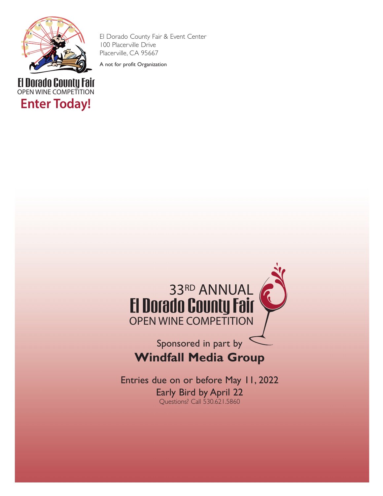

**Enter Today!**

POD DUNI OPEN WINE COMPETITION El Dorado County Fair & Event Center 100 Placerville Drive Placerville, CA 95667

A not for profit Organization



# Sponsored in part by **Windfall Media Group**

Entries due on or before May 11, 2022 Early Bird by April 22 Questions? Call 530.621.5860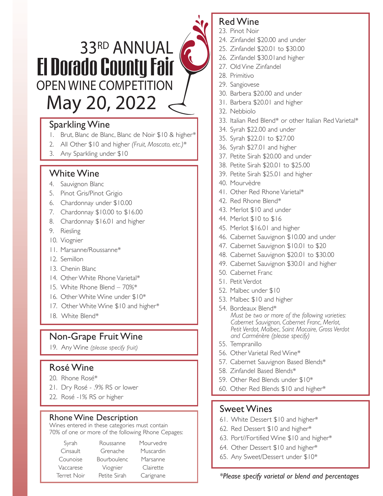# 33RD ANNUAL El Dorado County Fair OPEN WINE COMPETITION May 20, 2022

# Sparkling Wine

- 1. Brut, Blanc de Blanc, Blanc de Noir \$10 & higher*\**
- 2. All Other \$10 and higher *(Fruit, Moscato, etc.)*\*
- 3. Any Sparkling under \$10

## White Wine

- 4. Sauvignon Blanc
- 5. Pinot Gris/Pinot Grigio
- 6. Chardonnay under \$10.00
- 7. Chardonnay \$10.00 to \$16.00
- 8. Chardonnay \$16.01 and higher
- 9. Riesling
- 10. Viognier
- 11. Marsanne/Roussanne\*
- 12. Semillon
- 13. Chenin Blanc
- 14. Other White Rhone Varietal\*
- 15. White Rhone Blend 70%\*
- 16. Other White Wine under \$10\*
- 17. Other White Wine \$10 and higher*\**
- 18. White Blend\*

# Non-Grape Fruit Wine

19. Any Wine *(please specify fruit)*

# Rosé Wine

- 20. Rhone Rosé\*
- 21. Dry Rosé .9% RS or lower
- 22. Rosé -1% RS or higher

### Rhone Wine Description

Wines entered in these categories must contain 70% of one or more of the following Rhone Cepages:

| Syrah       | Roussanne          | Mourvedre |
|-------------|--------------------|-----------|
| Cinsault    | Grenache           | Muscardin |
| Counoise    | <b>Bourboulenc</b> | Marsanne  |
| Vaccarese   | Viognier           | Clairette |
| Terret Noir | Petite Sirah       | Carignane |

# Red Wine

- 23. Pinot Noir
- 24. Zinfandel \$20.00 and under
- 25. Zinfandel \$20.01 to \$30.00
- 26. Zinfandel \$30.01and higher
- 27. Old Vine Zinfandel
- 28. Primitivo
- 29. Sangiovese
- 30. Barbera \$20.00 and under
- 31. Barbera \$20.01 and higher
- 32. Nebbiolo
- 33. Italian Red Blend\* or other Italian Red Varietal\*
- 34. Syrah \$22.00 and under
- 35. Syrah \$22.01 to \$27.00
- 36. Syrah \$27.01 and higher
- 37. Petite Sirah \$20.00 and under
- 38. Petite Sirah \$20.01 to \$25.00
- 39. Petite Sirah \$25.01 and higher
- 40. Mourvèdre
- 41. Other Red Rhone Varietal\*
- 42. Red Rhone Blend\*
- 43. Merlot \$10 and under
- 44. Merlot \$10 to \$16
- 45. Merlot \$16.01 and higher
- 46. Cabernet Sauvignon \$10.00 and under
- 47. Cabernet Sauvignon \$10.01 to \$20
- 48. Cabernet Sauvignon \$20.01 to \$30.00
- 49. Cabernet Sauvignon \$30.01 and higher
- 50. Cabernet Franc
- 51. Petit Verdot
- 52. Malbec under \$10
- 53. Malbec \$10 and higher
- 54. Bordeaux Blend\* *Must be two or more of the following varieties: Cabernet Sauvignon, Cabernet Franc, Merlot, Petit Verdot, Malbec, Saint Macaire, Gross Verdot and Carménère (please specify)*
- 55. Tempranillo
- 56. Other Varietal Red Wine\*
- 57. Cabernet Sauvignon Based Blends\*
- 58. Zinfandel Based Blends\*
- 59. Other Red Blends under \$10\*
- 60. Other Red Blends \$10 and higher\*

### Sweet Wines

- 61. White Dessert \$10 and higher\*
- 62. Red Dessert \$10 and higher\*
- 63. Port//Fortified Wine \$10 and higher\*
- 64. Other Dessert \$10 and higher\*
- 65. Any Sweet/Dessert under \$10\*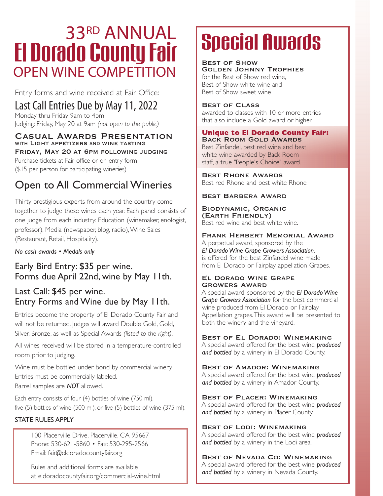# OPEN WINE COMPETITION **33RD ANNUAL**<br>El Dorado County Fair

Entry forms and wine received at Fair Office:

# Last Call Entries Due by May 11, 2022

Monday thru Friday 9am to 4pm Judging: Friday, May 20 at 9am *(not open to the public)*

#### Casual Awards Presentation WITH LIGHT APPETIZERS AND WINE TASTING

Friday, May 20 at 6pm following judging Purchase tickets at Fair office or on entry form (\$15 per person for participating wineries)

# Open to All Commercial Wineries

Thirty prestigious experts from around the country come together to judge these wines each year. Each panel consists of one judge from each industry: Education (winemaker, enologist, professor), Media (newspaper, blog, radio), Wine Sales (Restaurant, Retail, Hospitality).

*No cash awards • Medals only*

## Early Bird Entry: \$35 per wine. Forms due April 22nd, wine by May 11th.

# Last Call: \$45 per wine. Entry Forms and Wine due by May 11th.

Entries become the property of El Dorado County Fair and will not be returned. Judges will award Double Gold, Gold, Silver, Bronze, as well as Special Awards *(listed to the right)*.

All wines received will be stored in a temperature-controlled room prior to judging.

Wine must be bottled under bond by commercial winery. Entries must be commercially labeled. Barrel samples are *NOT* allowed.

Each entry consists of four (4) bottles of wine (750 ml), five (5) bottles of wine (500 ml), or five (5) bottles of wine (375 ml).

#### STATE RULES APPLY

100 Placerville Drive, Placerville, CA 95667 Phone: 530-621-5860 • Fax: 530-295-2566 Email: fair@eldoradocountyfair.org

Rules and additional forms are available at eldoradocountyfair.org/commercial-wine.html

# **Special Awards**

Best of Show Golden Johnny Trophies for the Best of Show red wine, Best of Show white wine and Best of Show sweet wine

#### Best of Class

awarded to classes with 10 or more entries that also include a Gold award or higher.

#### **Unique to El Dorado County Fair:**  Back Room Gold Awards

Best Zinfandel, best red wine and best white wine awarded by Back Room staff, a true "People's Choice" award.

Best Rhone Awards Best red Rhone and best white Rhone

#### Best Barbera Award

#### Biodynamic, Organic (Earth Friendly)

Best red wine and best white wine.

#### Frank Herbert Memorial Award

A perpetual award, sponsored by the *El Dorado Wine Grape Growers Association*, is offered for the best Zinfandel wine made from El Dorado or Fairplay appellation Grapes.

#### El Dorado Wine Grape Growers Award

A special award, sponsored by the *El Dorado Wine Grape Growers Association* for the best commercial wine produced from El Dorado or Fairplay Appellation grapes. This award will be presented to both the winery and the vineyard.

#### Best of El Dorado: Winemaking

A special award offered for the best wine *produced and bottled* by a winery in El Dorado County.

#### Best of Amador: Winemaking

A special award offered for the best wine *produced and bottled* by a winery in Amador County.

#### Best of Placer: Winemaking

A special award offered for the best wine *produced and bottled* by a winery in Placer County.

#### Best of Lodi: Winemaking

A special award offered for the best wine *produced and bottled* by a winery in the Lodi area.

#### Best of Nevada Co: Winemaking

A special award offered for the best wine *produced and bottled* by a winery in Nevada County.